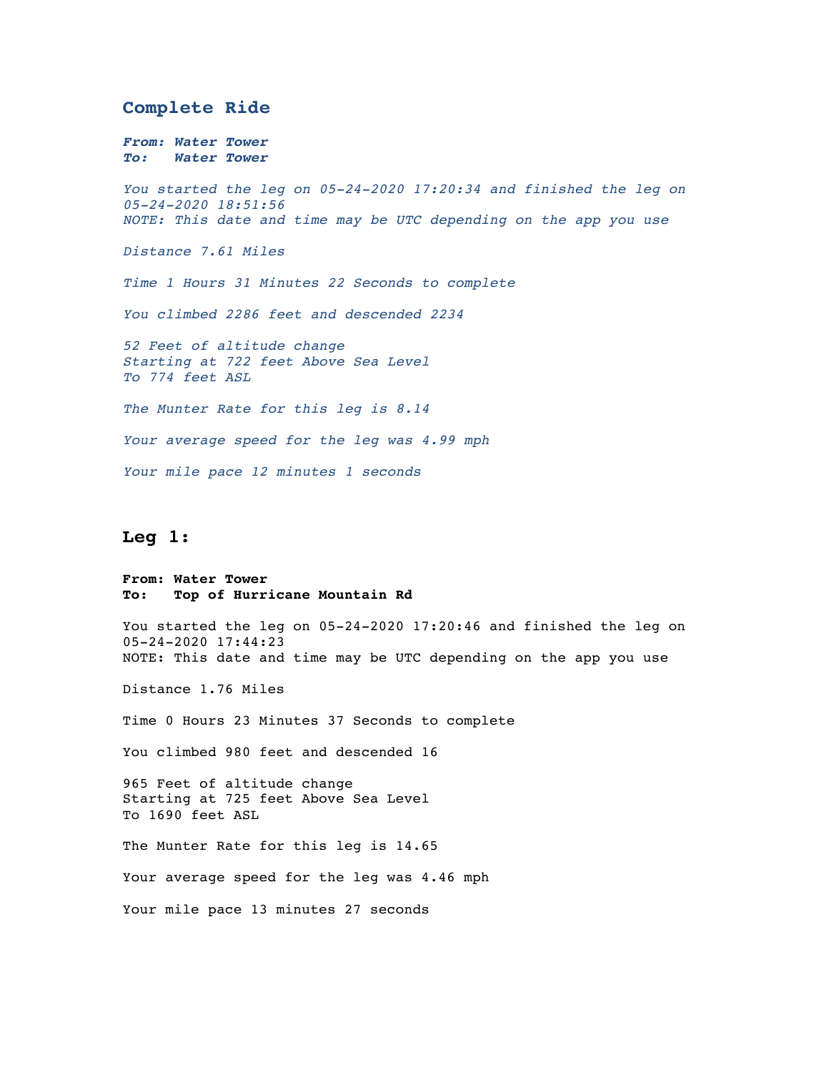### **Complete Ride**

*From: Water Tower To: Water Tower You started the leg on 05-24-2020 17:20:34 and finished the leg on 05-24-2020 18:51:56 NOTE: This date and time may be UTC depending on the app you use Distance 7.61 Miles Time 1 Hours 31 Minutes 22 Seconds to complete You climbed 2286 feet and descended 2234 52 Feet of altitude change Starting at 722 feet Above Sea Level To 774 feet ASL The Munter Rate for this leg is 8.14 Your average speed for the leg was 4.99 mph Your mile pace 12 minutes 1 seconds*

# **Leg 1:**

**From: Water Tower To: Top of Hurricane Mountain Rd**

You started the leg on 05-24-2020 17:20:46 and finished the leg on 05-24-2020 17:44:23 NOTE: This date and time may be UTC depending on the app you use

Distance 1.76 Miles

Time 0 Hours 23 Minutes 37 Seconds to complete

You climbed 980 feet and descended 16

965 Feet of altitude change Starting at 725 feet Above Sea Level To 1690 feet ASL

The Munter Rate for this leg is 14.65 Your average speed for the leg was 4.46 mph Your mile pace 13 minutes 27 seconds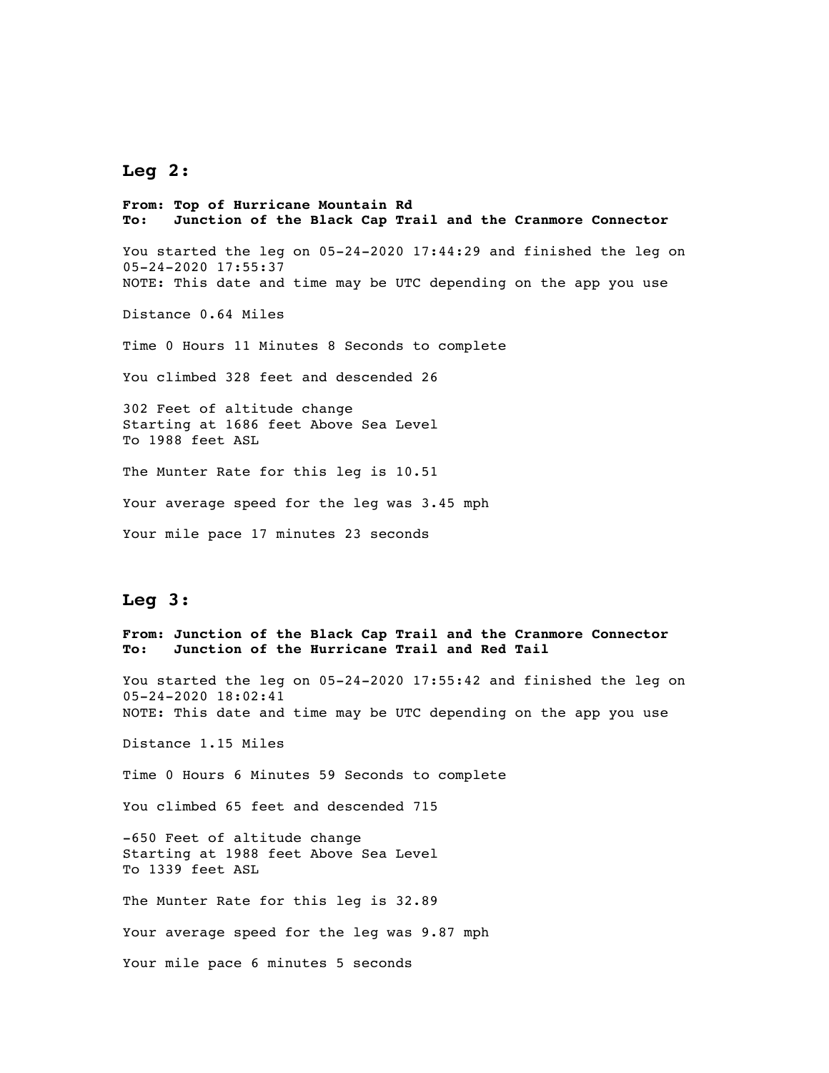## **Leg 2:**

**From: Top of Hurricane Mountain Rd To: Junction of the Black Cap Trail and the Cranmore Connector** You started the leg on 05-24-2020 17:44:29 and finished the leg on 05-24-2020 17:55:37 NOTE: This date and time may be UTC depending on the app you use Distance 0.64 Miles Time 0 Hours 11 Minutes 8 Seconds to complete You climbed 328 feet and descended 26 302 Feet of altitude change Starting at 1686 feet Above Sea Level To 1988 feet ASL The Munter Rate for this leg is 10.51 Your average speed for the leg was 3.45 mph Your mile pace 17 minutes 23 seconds **Leg 3: From: Junction of the Black Cap Trail and the Cranmore Connector To: Junction of the Hurricane Trail and Red Tail** You started the leg on 05-24-2020 17:55:42 and finished the leg on 05-24-2020 18:02:41 NOTE: This date and time may be UTC depending on the app you use

Distance 1.15 Miles

Time 0 Hours 6 Minutes 59 Seconds to complete

You climbed 65 feet and descended 715

-650 Feet of altitude change Starting at 1988 feet Above Sea Level To 1339 feet ASL

The Munter Rate for this leg is 32.89

Your average speed for the leg was 9.87 mph

Your mile pace 6 minutes 5 seconds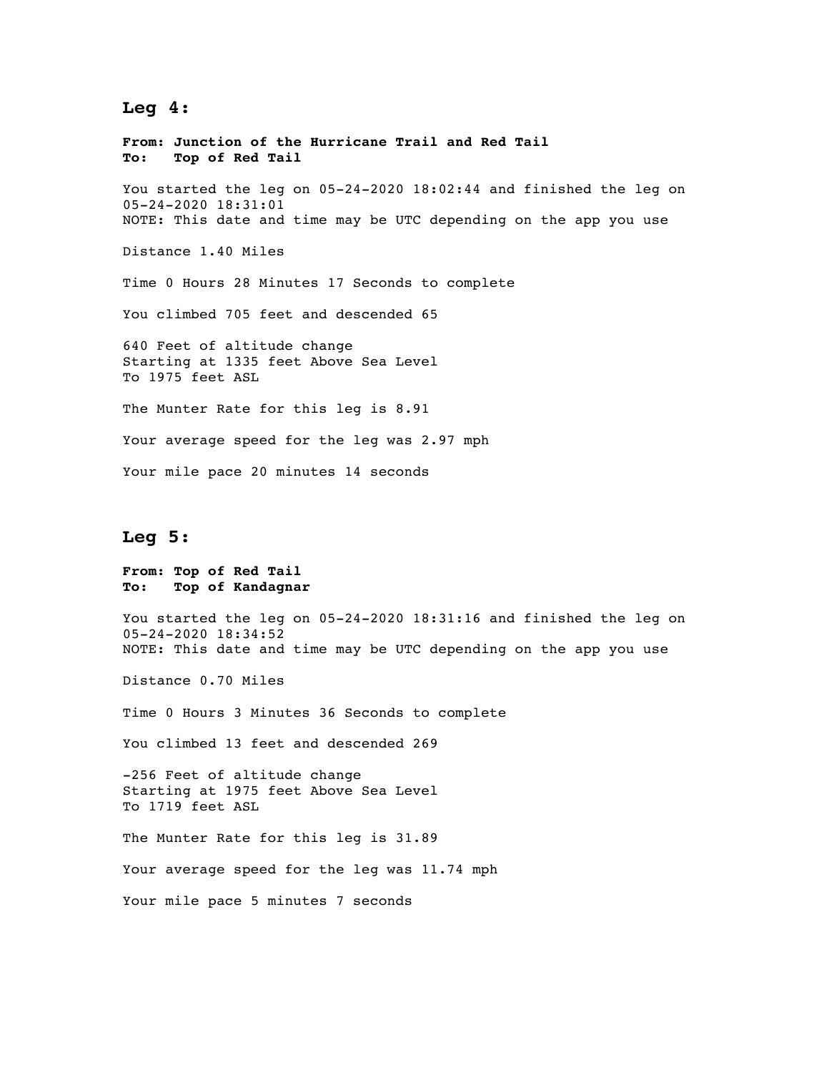# **Leg 4:**

**From: Junction of the Hurricane Trail and Red Tail To: Top of Red Tail** You started the leg on 05-24-2020 18:02:44 and finished the leg on 05-24-2020 18:31:01 NOTE: This date and time may be UTC depending on the app you use Distance 1.40 Miles Time 0 Hours 28 Minutes 17 Seconds to complete You climbed 705 feet and descended 65 640 Feet of altitude change Starting at 1335 feet Above Sea Level To 1975 feet ASL The Munter Rate for this leg is 8.91 Your average speed for the leg was 2.97 mph Your mile pace 20 minutes 14 seconds

## **Leg 5:**

**From: Top of Red Tail To: Top of Kandagnar**

You started the leg on 05-24-2020 18:31:16 and finished the leg on 05-24-2020 18:34:52 NOTE: This date and time may be UTC depending on the app you use

Distance 0.70 Miles

Time 0 Hours 3 Minutes 36 Seconds to complete

You climbed 13 feet and descended 269

-256 Feet of altitude change Starting at 1975 feet Above Sea Level To 1719 feet ASL

The Munter Rate for this leg is 31.89 Your average speed for the leg was 11.74 mph

Your mile pace 5 minutes 7 seconds